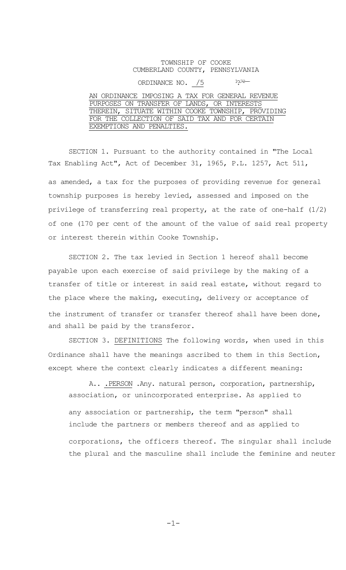## TOWNSHIP OF COOKE CUMBERLAND COUNTY, PENNSYLVANIA

ORDINANCE NO.  $/5$   $12.72-1$ 

| AN ORDINANCE IMPOSING A TAX FOR GENERAL REVENUE   |
|---------------------------------------------------|
| PURPOSES ON TRANSFER OF LANDS, OR INTERESTS       |
| THEREIN, SITUATE WITHIN COOKE TOWNSHIP, PROVIDING |
| FOR THE COLLECTION OF SAID TAX AND FOR CERTAIN    |
| EXEMPTIONS AND PENALTIES.                         |

SECTION 1. Pursuant to the authority contained in "The Local Tax Enabling Act", Act of December 31, 1965, P.L. 1257, Act 511, as amended, a tax for the purposes of providing revenue for general township purposes is hereby levied, assessed and imposed on the privilege of transferring real property, at the rate of one-half (1/2) of one (170 per cent of the amount of the value of said real property or interest therein within Cooke Township.

SECTION 2. The tax levied in Section 1 hereof shall become payable upon each exercise of said privilege by the making of a transfer of title or interest in said real estate, without regard to the place where the making, executing, delivery or acceptance of the instrument of transfer or transfer thereof shall have been done, and shall be paid by the transferor.

SECTION 3. DEFINITIONS The following words, when used in this Ordinance shall have the meanings ascribed to them in this Section, except where the context clearly indicates a different meaning:

A.. .PERSON .Any. natural person, corporation, partnership, association, or unincorporated enterprise. As applied to any association or partnership, the term "person" shall include the partners or members thereof and as applied to corporations, the officers thereof. The singular shall include the plural and the masculine shall include the feminine and neuter

 $-1-$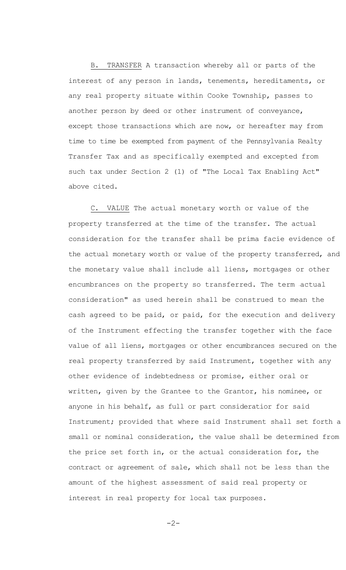B. TRANSFER A transaction whereby all or parts of the interest of any person in lands, tenements, hereditaments, or any real property situate within Cooke Township, passes to another person by deed or other instrument of conveyance, except those transactions which are now, or hereafter may from time to time be exempted from payment of the Pennsylvania Realty Transfer Tax and as specifically exempted and excepted from such tax under Section 2 (1) of "The Local Tax Enabling Act" above cited.

C. VALUE The actual monetary worth or value of the property transferred at the time of the transfer. The actual consideration for the transfer shall be prima facie evidence of the actual monetary worth or value of the property transferred, and the monetary value shall include all liens, mortgages or other encumbrances on the property so transferred. The term actual consideration" as used herein shall be construed to mean the cash agreed to be paid, or paid, for the execution and delivery of the Instrument effecting the transfer together with the face value of all liens, mortgages or other encumbrances secured on the real property transferred by said Instrument, together with any other evidence of indebtedness or promise, either oral or written, given by the Grantee to the Grantor, his nominee, or anyone in his behalf, as full or part consideratior for said Instrument; provided that where said Instrument shall set forth a small or nominal consideration, the value shall be determined from the price set forth in, or the actual consideration for, the contract or agreement of sale, which shall not be less than the amount of the highest assessment of said real property or interest in real property for local tax purposes.

$$
-2-
$$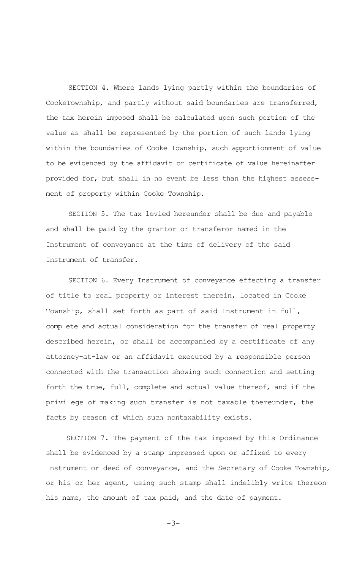SECTION 4. Where lands lying partly within the boundaries of CookeTownship, and partly without said boundaries are transferred, the tax herein imposed shall be calculated upon such portion of the value as shall be represented by the portion of such lands lying within the boundaries of Cooke Township, such apportionment of value to be evidenced by the affidavit or certificate of value hereinafter provided for, but shall in no event be less than the highest assessment of property within Cooke Township.

SECTION 5. The tax levied hereunder shall be due and payable and shall be paid by the grantor or transferor named in the Instrument of conveyance at the time of delivery of the said Instrument of transfer.

SECTION 6. Every Instrument of conveyance effecting a transfer of title to real property or interest therein, located in Cooke Township, shall set forth as part of said Instrument in full, complete and actual consideration for the transfer of real property described herein, or shall be accompanied by a certificate of any attorney-at-law or an affidavit executed by a responsible person connected with the transaction showing such connection and setting forth the true, full, complete and actual value thereof, and if the privilege of making such transfer is not taxable thereunder, the facts by reason of which such nontaxability exists.

SECTION 7. The payment of the tax imposed by this Ordinance shall be evidenced by a stamp impressed upon or affixed to every Instrument or deed of conveyance, and the Secretary of Cooke Township, or his or her agent, using such stamp shall indelibly write thereon his name, the amount of tax paid, and the date of payment.

$$
-3-
$$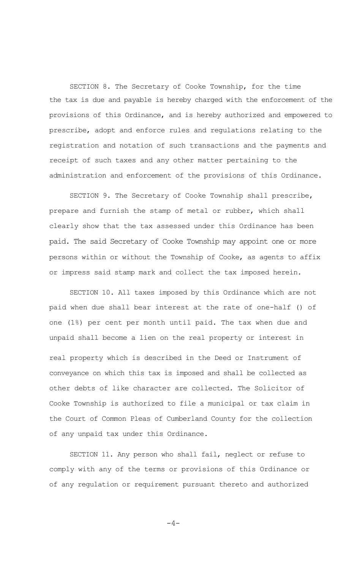SECTION 8. The Secretary of Cooke Township, for the time the tax is due and payable is hereby charged with the enforcement of the provisions of this Ordinance, and is hereby authorized and empowered to prescribe, adopt and enforce rules and regulations relating to the registration and notation of such transactions and the payments and receipt of such taxes and any other matter pertaining to the administration and enforcement of the provisions of this Ordinance.

SECTION 9. The Secretary of Cooke Township shall prescribe, prepare and furnish the stamp of metal or rubber, which shall clearly show that the tax assessed under this Ordinance has been paid. The said Secretary of Cooke Township may appoint one or more persons within or without the Township of Cooke, as agents to affix or impress said stamp mark and collect the tax imposed herein.

SECTION 10. All taxes imposed by this Ordinance which are not paid when due shall bear interest at the rate of one-half () of one (1%) per cent per month until paid. The tax when due and unpaid shall become a lien on the real property or interest in real property which is described in the Deed or Instrument of conveyance on which this tax is imposed and shall be collected as other debts of like character are collected. The Solicitor of Cooke Township is authorized to file a municipal or tax claim in the Court of Common Pleas of Cumberland County for the collection of any unpaid tax under this Ordinance.

SECTION 11. Any person who shall fail, neglect or refuse to comply with any of the terms or provisions of this Ordinance or of any regulation or requirement pursuant thereto and authorized

 $-4-$